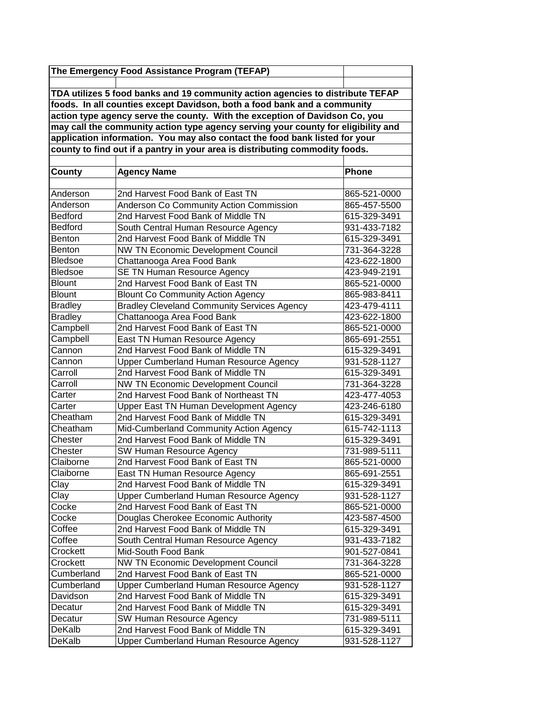|                                                                                   | The Emergency Food Assistance Program (TEFAP)                                  |              |  |  |
|-----------------------------------------------------------------------------------|--------------------------------------------------------------------------------|--------------|--|--|
|                                                                                   |                                                                                |              |  |  |
|                                                                                   | TDA utilizes 5 food banks and 19 community action agencies to distribute TEFAP |              |  |  |
| foods. In all counties except Davidson, both a food bank and a community          |                                                                                |              |  |  |
|                                                                                   | action type agency serve the county. With the exception of Davidson Co, you    |              |  |  |
| may call the community action type agency serving your county for eligibility and |                                                                                |              |  |  |
|                                                                                   | application information. You may also contact the food bank listed for your    |              |  |  |
|                                                                                   | county to find out if a pantry in your area is distributing commodity foods.   |              |  |  |
|                                                                                   |                                                                                |              |  |  |
| County                                                                            | <b>Agency Name</b>                                                             | <b>Phone</b> |  |  |
|                                                                                   |                                                                                |              |  |  |
| Anderson                                                                          | 2nd Harvest Food Bank of East TN                                               | 865-521-0000 |  |  |
| Anderson                                                                          | Anderson Co Community Action Commission                                        | 865-457-5500 |  |  |
| <b>Bedford</b>                                                                    | 2nd Harvest Food Bank of Middle TN                                             | 615-329-3491 |  |  |
| <b>Bedford</b>                                                                    | South Central Human Resource Agency                                            | 931-433-7182 |  |  |
| <b>Benton</b>                                                                     | 2nd Harvest Food Bank of Middle TN                                             | 615-329-3491 |  |  |
| Benton                                                                            | NW TN Economic Development Council                                             | 731-364-3228 |  |  |
| <b>Bledsoe</b>                                                                    | Chattanooga Area Food Bank                                                     | 423-622-1800 |  |  |
| <b>Bledsoe</b>                                                                    | <b>SE TN Human Resource Agency</b>                                             | 423-949-2191 |  |  |
| <b>Blount</b>                                                                     | 2nd Harvest Food Bank of East TN                                               | 865-521-0000 |  |  |
| <b>Blount</b>                                                                     | <b>Blount Co Community Action Agency</b>                                       | 865-983-8411 |  |  |
| <b>Bradley</b>                                                                    | <b>Bradley Cleveland Community Services Agency</b>                             | 423-479-4111 |  |  |
| <b>Bradley</b>                                                                    | Chattanooga Area Food Bank                                                     | 423-622-1800 |  |  |
| Campbell                                                                          | 2nd Harvest Food Bank of East TN                                               | 865-521-0000 |  |  |
| Campbell                                                                          | East TN Human Resource Agency                                                  | 865-691-2551 |  |  |
| Cannon                                                                            | 2nd Harvest Food Bank of Middle TN                                             | 615-329-3491 |  |  |
| Cannon                                                                            | Upper Cumberland Human Resource Agency                                         | 931-528-1127 |  |  |
| Carroll                                                                           | 2nd Harvest Food Bank of Middle TN                                             | 615-329-3491 |  |  |
| Carroll                                                                           | <b>NW TN Economic Development Council</b>                                      | 731-364-3228 |  |  |
| Carter                                                                            | 2nd Harvest Food Bank of Northeast TN                                          | 423-477-4053 |  |  |
| Carter                                                                            | Upper East TN Human Development Agency                                         | 423-246-6180 |  |  |
| Cheatham                                                                          | 2nd Harvest Food Bank of Middle TN                                             | 615-329-3491 |  |  |
| Cheatham                                                                          | Mid-Cumberland Community Action Agency                                         | 615-742-1113 |  |  |
| Chester                                                                           | 2nd Harvest Food Bank of Middle TN                                             | 615-329-3491 |  |  |
| Chester                                                                           | SW Human Resource Agency                                                       | 731-989-5111 |  |  |
| Claiborne                                                                         | 2nd Harvest Food Bank of East TN                                               | 865-521-0000 |  |  |
| Claiborne                                                                         | East TN Human Resource Agency                                                  | 865-691-2551 |  |  |
| Clay                                                                              | 2nd Harvest Food Bank of Middle TN                                             | 615-329-3491 |  |  |
| Clay                                                                              | Upper Cumberland Human Resource Agency                                         | 931-528-1127 |  |  |
| Cocke                                                                             | 2nd Harvest Food Bank of East TN                                               | 865-521-0000 |  |  |
| Cocke                                                                             | Douglas Cherokee Economic Authority                                            | 423-587-4500 |  |  |
| Coffee                                                                            | 2nd Harvest Food Bank of Middle TN                                             | 615-329-3491 |  |  |
| Coffee                                                                            | South Central Human Resource Agency                                            | 931-433-7182 |  |  |
| Crockett                                                                          | Mid-South Food Bank                                                            | 901-527-0841 |  |  |
| Crockett                                                                          | NW TN Economic Development Council                                             | 731-364-3228 |  |  |
| Cumberland                                                                        | 2nd Harvest Food Bank of East TN                                               | 865-521-0000 |  |  |
| Cumberland                                                                        | Upper Cumberland Human Resource Agency                                         | 931-528-1127 |  |  |
| Davidson                                                                          | 2nd Harvest Food Bank of Middle TN                                             | 615-329-3491 |  |  |
| Decatur                                                                           | 2nd Harvest Food Bank of Middle TN                                             | 615-329-3491 |  |  |
| Decatur                                                                           | SW Human Resource Agency                                                       | 731-989-5111 |  |  |
| DeKalb                                                                            | 2nd Harvest Food Bank of Middle TN                                             | 615-329-3491 |  |  |
| DeKalb                                                                            | Upper Cumberland Human Resource Agency                                         | 931-528-1127 |  |  |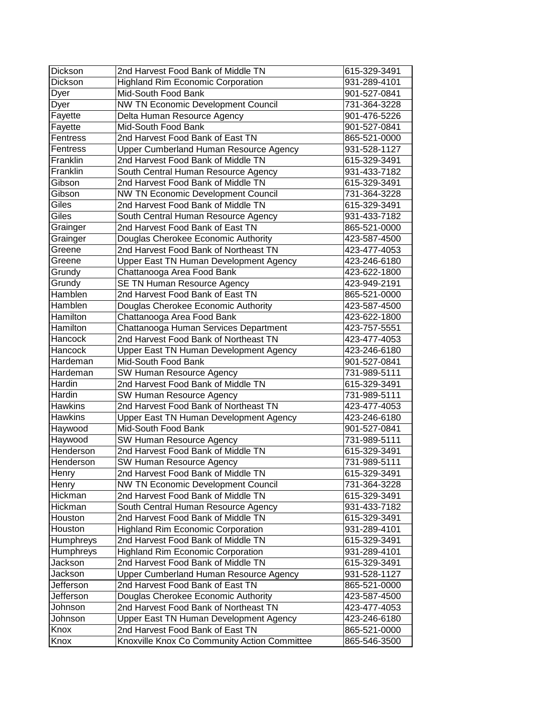| <b>Dickson</b> | 2nd Harvest Food Bank of Middle TN                                               | 615-329-3491                 |
|----------------|----------------------------------------------------------------------------------|------------------------------|
| Dickson        | <b>Highland Rim Economic Corporation</b>                                         | 931-289-4101                 |
| Dyer           | Mid-South Food Bank                                                              | 901-527-0841                 |
| Dyer           | NW TN Economic Development Council                                               | 731-364-3228                 |
| Fayette        | Delta Human Resource Agency                                                      | 901-476-5226                 |
| Fayette        | Mid-South Food Bank                                                              | 901-527-0841                 |
| Fentress       | 2nd Harvest Food Bank of East TN                                                 | 865-521-0000                 |
| Fentress       | Upper Cumberland Human Resource Agency                                           | 931-528-1127                 |
| Franklin       | 2nd Harvest Food Bank of Middle TN                                               | 615-329-3491                 |
| Franklin       | South Central Human Resource Agency                                              | 931-433-7182                 |
| Gibson         | 2nd Harvest Food Bank of Middle TN                                               | 615-329-3491                 |
| Gibson         | NW TN Economic Development Council                                               | 731-364-3228                 |
| Giles          | 2nd Harvest Food Bank of Middle TN                                               | 615-329-3491                 |
| Giles          | South Central Human Resource Agency                                              | 931-433-7182                 |
| Grainger       | 2nd Harvest Food Bank of East TN                                                 | 865-521-0000                 |
| Grainger       | Douglas Cherokee Economic Authority                                              | 423-587-4500                 |
| Greene         | 2nd Harvest Food Bank of Northeast TN                                            | 423-477-4053                 |
| Greene         | Upper East TN Human Development Agency                                           | 423-246-6180                 |
| Grundy         | Chattanooga Area Food Bank                                                       | 423-622-1800                 |
| Grundy         | <b>SE TN Human Resource Agency</b>                                               | 423-949-2191                 |
| Hamblen        | 2nd Harvest Food Bank of East TN                                                 | 865-521-0000                 |
| Hamblen        | Douglas Cherokee Economic Authority                                              | 423-587-4500                 |
| Hamilton       | Chattanooga Area Food Bank                                                       | 423-622-1800                 |
| Hamilton       | Chattanooga Human Services Department                                            | 423-757-5551                 |
| Hancock        | 2nd Harvest Food Bank of Northeast TN                                            | 423-477-4053                 |
| Hancock        | Upper East TN Human Development Agency                                           | 423-246-6180                 |
| Hardeman       | Mid-South Food Bank                                                              |                              |
|                |                                                                                  | 901-527-0841                 |
| Hardeman       | SW Human Resource Agency                                                         | 731-989-5111                 |
| Hardin         | 2nd Harvest Food Bank of Middle TN                                               | 615-329-3491                 |
| Hardin         | SW Human Resource Agency                                                         | 731-989-5111                 |
| <b>Hawkins</b> | 2nd Harvest Food Bank of Northeast TN                                            | 423-477-4053                 |
| <b>Hawkins</b> | Upper East TN Human Development Agency                                           | 423-246-6180                 |
| Haywood        | Mid-South Food Bank                                                              | 901-527-0841                 |
| Haywood        | SW Human Resource Agency                                                         | 731-989-5111                 |
| Henderson      | 2nd Harvest Food Bank of Middle TN                                               | 615-329-3491                 |
| Henderson      | SW Human Resource Agency                                                         | 731-989-5111                 |
| Henry          | 2nd Harvest Food Bank of Middle TN                                               | 615-329-3491                 |
| Henry          | <b>NW TN Economic Development Council</b>                                        | 731-364-3228                 |
| Hickman        | 2nd Harvest Food Bank of Middle TN                                               | 615-329-3491                 |
| Hickman        | South Central Human Resource Agency                                              | 931-433-7182                 |
| Houston        | 2nd Harvest Food Bank of Middle TN                                               | 615-329-3491                 |
| Houston        | <b>Highland Rim Economic Corporation</b>                                         | 931-289-4101                 |
| Humphreys      | 2nd Harvest Food Bank of Middle TN                                               | 615-329-3491                 |
| Humphreys      | <b>Highland Rim Economic Corporation</b>                                         | 931-289-4101                 |
| Jackson        | 2nd Harvest Food Bank of Middle TN                                               | 615-329-3491                 |
| Jackson        | Upper Cumberland Human Resource Agency                                           | 931-528-1127                 |
| Jefferson      | 2nd Harvest Food Bank of East TN                                                 | 865-521-0000                 |
| Jefferson      | Douglas Cherokee Economic Authority                                              | 423-587-4500                 |
| Johnson        | 2nd Harvest Food Bank of Northeast TN                                            | 423-477-4053                 |
| Johnson        | Upper East TN Human Development Agency                                           | 423-246-6180                 |
| Knox<br>Knox   | 2nd Harvest Food Bank of East TN<br>Knoxville Knox Co Community Action Committee | 865-521-0000<br>865-546-3500 |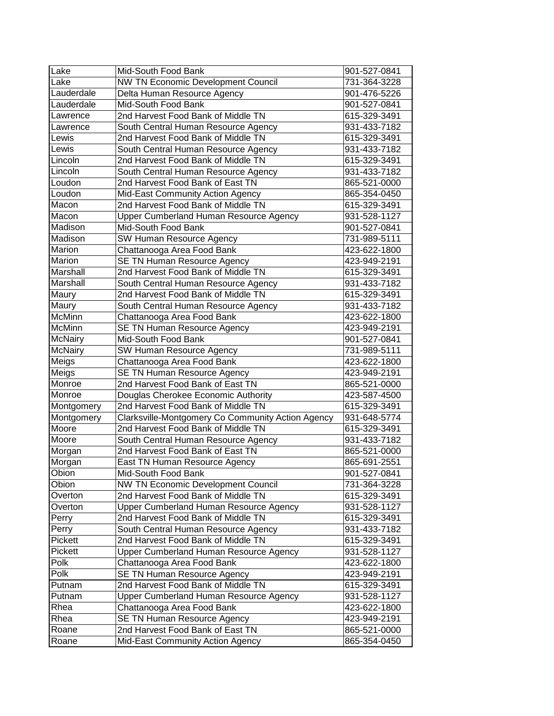| Lake           | Mid-South Food Bank                               | 901-527-0841 |
|----------------|---------------------------------------------------|--------------|
| Lake           | NW TN Economic Development Council                | 731-364-3228 |
| Lauderdale     | Delta Human Resource Agency                       | 901-476-5226 |
| Lauderdale     | Mid-South Food Bank                               | 901-527-0841 |
| Lawrence       | 2nd Harvest Food Bank of Middle TN                | 615-329-3491 |
| Lawrence       | South Central Human Resource Agency               | 931-433-7182 |
| Lewis          | 2nd Harvest Food Bank of Middle TN                | 615-329-3491 |
| Lewis          | South Central Human Resource Agency               | 931-433-7182 |
| Lincoln        | 2nd Harvest Food Bank of Middle TN                | 615-329-3491 |
| Lincoln        | South Central Human Resource Agency               | 931-433-7182 |
| Loudon         | 2nd Harvest Food Bank of East TN                  | 865-521-0000 |
| Loudon         | Mid-East Community Action Agency                  | 865-354-0450 |
| Macon          | 2nd Harvest Food Bank of Middle TN                | 615-329-3491 |
| Macon          | Upper Cumberland Human Resource Agency            | 931-528-1127 |
| Madison        | Mid-South Food Bank                               | 901-527-0841 |
| Madison        | SW Human Resource Agency                          | 731-989-5111 |
| Marion         | Chattanooga Area Food Bank                        | 423-622-1800 |
| Marion         | SE TN Human Resource Agency                       | 423-949-2191 |
| Marshall       | 2nd Harvest Food Bank of Middle TN                | 615-329-3491 |
| Marshall       | South Central Human Resource Agency               | 931-433-7182 |
| Maury          | 2nd Harvest Food Bank of Middle TN                | 615-329-3491 |
| Maury          | South Central Human Resource Agency               | 931-433-7182 |
| McMinn         | Chattanooga Area Food Bank                        | 423-622-1800 |
| <b>McMinn</b>  | <b>SE TN Human Resource Agency</b>                | 423-949-2191 |
| <b>McNairy</b> | Mid-South Food Bank                               | 901-527-0841 |
| <b>McNairy</b> | SW Human Resource Agency                          | 731-989-5111 |
| Meigs          | Chattanooga Area Food Bank                        | 423-622-1800 |
| Meigs          | SE TN Human Resource Agency                       | 423-949-2191 |
| Monroe         | 2nd Harvest Food Bank of East TN                  | 865-521-0000 |
| Monroe         | Douglas Cherokee Economic Authority               | 423-587-4500 |
| Montgomery     | 2nd Harvest Food Bank of Middle TN                | 615-329-3491 |
| Montgomery     | Clarksville-Montgomery Co Community Action Agency | 931-648-5774 |
| Moore          | 2nd Harvest Food Bank of Middle TN                | 615-329-3491 |
| Moore          | South Central Human Resource Agency               | 931-433-7182 |
| Morgan         | 2nd Harvest Food Bank of East TN                  | 865-521-0000 |
| Morgan         | East TN Human Resource Agency                     | 865-691-2551 |
| Obion          | Mid-South Food Bank                               | 901-527-0841 |
| Obion          | NW TN Economic Development Council                | 731-364-3228 |
| Overton        | 2nd Harvest Food Bank of Middle TN                | 615-329-3491 |
| Overton        | Upper Cumberland Human Resource Agency            | 931-528-1127 |
| Perry          | 2nd Harvest Food Bank of Middle TN                | 615-329-3491 |
| Perry          | South Central Human Resource Agency               | 931-433-7182 |
| Pickett        | 2nd Harvest Food Bank of Middle TN                | 615-329-3491 |
| Pickett        | Upper Cumberland Human Resource Agency            | 931-528-1127 |
| Polk           | Chattanooga Area Food Bank                        | 423-622-1800 |
| Polk           | SE TN Human Resource Agency                       | 423-949-2191 |
| Putnam         | 2nd Harvest Food Bank of Middle TN                | 615-329-3491 |
| Putnam         | Upper Cumberland Human Resource Agency            | 931-528-1127 |
| Rhea           | Chattanooga Area Food Bank                        | 423-622-1800 |
| Rhea           | <b>SE TN Human Resource Agency</b>                | 423-949-2191 |
| Roane          | 2nd Harvest Food Bank of East TN                  | 865-521-0000 |
| Roane          | Mid-East Community Action Agency                  | 865-354-0450 |